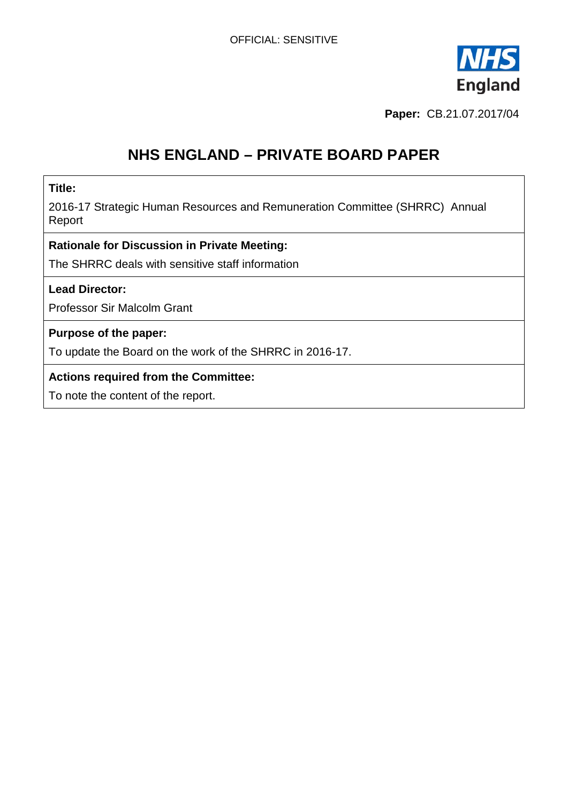

**Paper:** CB.21.07.2017/04

# **NHS ENGLAND – PRIVATE BOARD PAPER**

#### **Title:**

2016-17 Strategic Human Resources and Remuneration Committee (SHRRC) Annual Report

#### **Rationale for Discussion in Private Meeting:**

The SHRRC deals with sensitive staff information

#### **Lead Director:**

Professor Sir Malcolm Grant

#### **Purpose of the paper:**

To update the Board on the work of the SHRRC in 2016-17.

#### **Actions required from the Committee:**

To note the content of the report.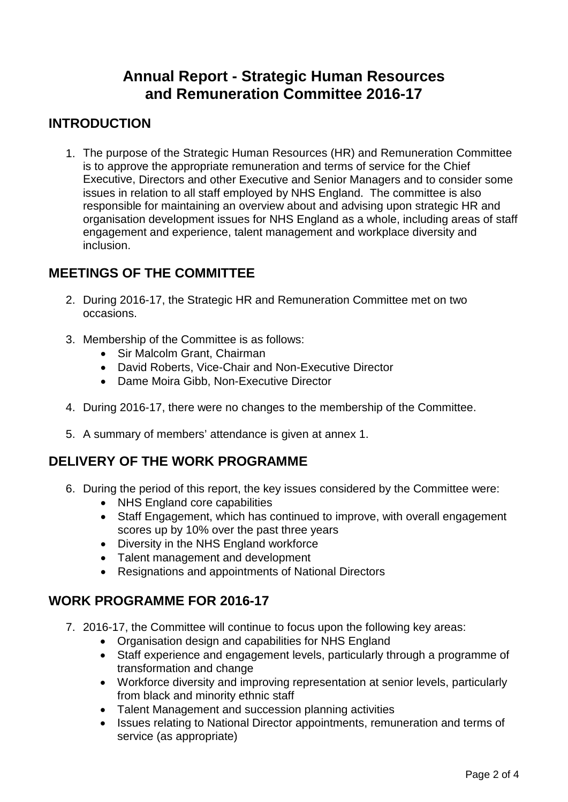## **Annual Report - Strategic Human Resources and Remuneration Committee 2016-17**

## **INTRODUCTION**

1. The purpose of the Strategic Human Resources (HR) and Remuneration Committee is to approve the appropriate remuneration and terms of service for the Chief Executive, Directors and other Executive and Senior Managers and to consider some issues in relation to all staff employed by NHS England. The committee is also responsible for maintaining an overview about and advising upon strategic HR and organisation development issues for NHS England as a whole, including areas of staff engagement and experience, talent management and workplace diversity and inclusion.

### **MEETINGS OF THE COMMITTEE**

- 2. During 2016-17, the Strategic HR and Remuneration Committee met on two occasions.
- 3. Membership of the Committee is as follows:
	- Sir Malcolm Grant, Chairman
	- David Roberts, Vice-Chair and Non-Executive Director
	- Dame Moira Gibb, Non-Executive Director
- 4. During 2016-17, there were no changes to the membership of the Committee.
- 5. A summary of members' attendance is given at annex 1.

### **DELIVERY OF THE WORK PROGRAMME**

- 6. During the period of this report, the key issues considered by the Committee were:
	- NHS England core capabilities
	- Staff Engagement, which has continued to improve, with overall engagement scores up by 10% over the past three years
	- Diversity in the NHS England workforce
	- Talent management and development
	- Resignations and appointments of National Directors

### **WORK PROGRAMME FOR 2016-17**

- 7. 2016-17, the Committee will continue to focus upon the following key areas:
	- Organisation design and capabilities for NHS England
	- Staff experience and engagement levels, particularly through a programme of transformation and change
	- Workforce diversity and improving representation at senior levels, particularly from black and minority ethnic staff
	- Talent Management and succession planning activities
	- Issues relating to National Director appointments, remuneration and terms of service (as appropriate)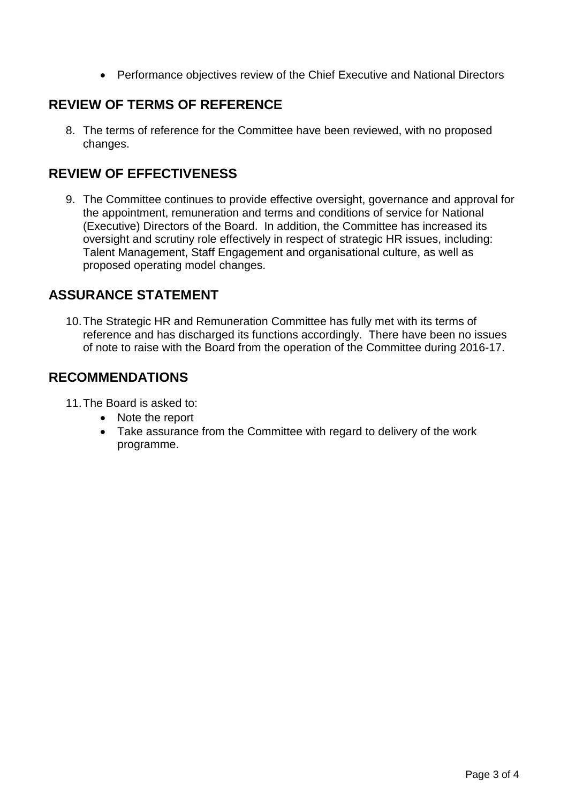• Performance objectives review of the Chief Executive and National Directors

## **REVIEW OF TERMS OF REFERENCE**

8. The terms of reference for the Committee have been reviewed, with no proposed changes.

### **REVIEW OF EFFECTIVENESS**

9. The Committee continues to provide effective oversight, governance and approval for the appointment, remuneration and terms and conditions of service for National (Executive) Directors of the Board. In addition, the Committee has increased its oversight and scrutiny role effectively in respect of strategic HR issues, including: Talent Management, Staff Engagement and organisational culture, as well as proposed operating model changes.

### **ASSURANCE STATEMENT**

10.The Strategic HR and Remuneration Committee has fully met with its terms of reference and has discharged its functions accordingly. There have been no issues of note to raise with the Board from the operation of the Committee during 2016-17.

### **RECOMMENDATIONS**

11.The Board is asked to:

- Note the report
- Take assurance from the Committee with regard to delivery of the work programme.